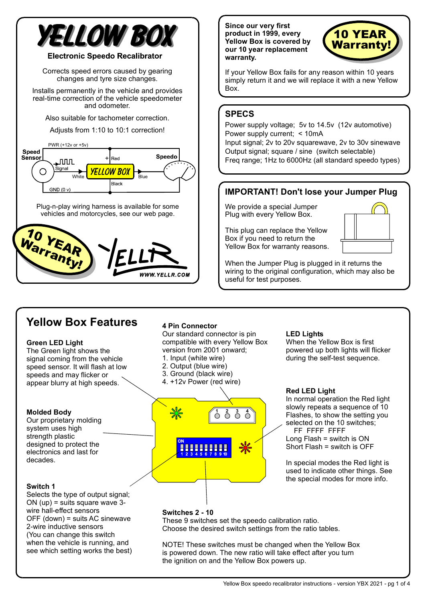# **ÆLLOW BOX**

#### **Electronic Speedo Recalibrator**

Corrects speed errors caused by gearing changes and tyre size changes.

Installs permanently in the vehicle and provides real-time correction of the vehicle speedometer and odometer.

Also suitable for tachometer correction.

Adjusts from 1:10 to 10:1 correction!



Plug-n-play wiring harness is available for some vehicles and motorcycles, see our web page.



**Since our very first product in 1999, every Yellow Box is covered by our 10 year replacement warranty.**



If your Yellow Box fails for any reason within 10 years simply return it and we will replace it with a new Yellow Box.

### **SPECS**

Power supply voltage; 5v to 14.5v (12v automotive) Power supply current; < 10mA Input signal; 2v to 20v squarewave, 2v to 30v sinewave Output signal; square / sine (switch selectable) Freq range; 1Hz to 6000Hz (all standard speedo types)

## **IMPORTANT! Don't lose your Jumper Plug**

We provide a special Jumper Plug with every Yellow Box.

This plug can replace the Yellow Box if you need to return the Yellow Box for warranty reasons.



When the Jumper Plug is plugged in it returns the wiring to the original configuration, which may also be useful for test purposes.

# **Yellow Box Features <sup>4</sup> Pin Connector**

#### **Green LED Light**

The Green light shows the signal coming from the vehicle speed sensor. It will flash at low speeds and may flicker or appear blurry at high speeds.

#### **Molded Body**

Our proprietary molding system uses high strength plastic designed to protect the electronics and last for decades.

#### **Switch 1**

Selects the type of output signal; ON (up) = suits square wave 3 wire hall-effect sensors OFF (down) = suits AC sinewave 2-wire inductive sensors (You can change this switch when the vehicle is running, and see which setting works the best)

Our standard connector is pin compatible with every Yellow Box version from 2001 onward;

- 1. Input (white wire)
- 2. Output (blue wire)
- 3. Ground (black wire)
- 4. +12v Power (red wire)



#### **LED Lights**

When the Yellow Box is first powered up both lights will flicker during the self-test sequence.

#### **Red LED Light**

In normal operation the Red light slowly repeats a sequence of 10 Flashes, to show the setting you selected on the 10 switches; FF FFFF FFFF Long Flash = switch is ON Short Flash = switch is OFF

In special modes the Red light is used to indicate other things. See the special modes for more info.

#### **Switches 2 - 10** These 9 switches set the speedo calibration ratio.

Choose the desired switch settings from the ratio tables.

NOTE! These switches must be changed when the Yellow Box is powered down. The new ratio will take effect after you turn the ignition on and the Yellow Box powers up.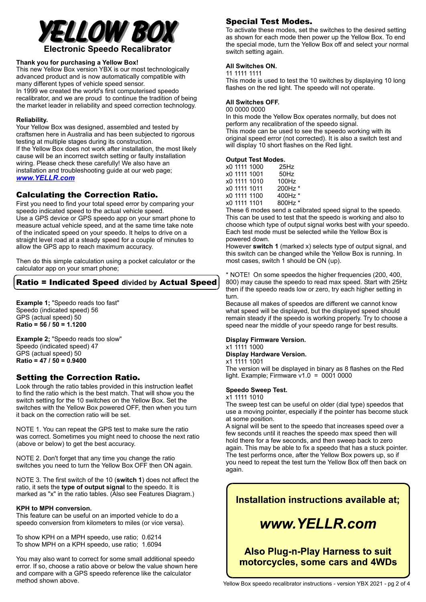

#### **Thank you for purchasing a Yellow Box!**

This new Yellow Box version YBX is our most technologically advanced product and is now automatically compatible with many different types of vehicle speed sensor. In 1999 we created the world's first computerised speedo recalibrator, and we are proud to continue the tradition of being the market leader in reliability and speed correction technology.

#### **Reliability.**

Your Yellow Box was designed, assembled and tested by craftsmen here in Australia and has been subjected to rigorous testing at multiple stages during its construction. If the Yellow Box does not work after installation, the most likely cause will be an incorrect switch setting or faulty installation wiring. Please check these carefully! We also have an installation and troubleshooting guide at our web page; *[www.YELLR.com](http://www.YELLR.com)*

#### Calculating the Correction Ratio.

First you need to find your total speed error by comparing your speedo indicated speed to the actual vehicle speed. Use a GPS device or GPS speedo app on your smart phone to measure actual vehicle speed, and at the same time take note of the indicated speed on your speedo. It helps to drive on a straight level road at a steady speed for a couple of minutes to allow the GPS app to reach maximum accuracy.

Then do this simple calculation using a pocket calculator or the calculator app on your smart phone;

#### Ratio = Indicated Speed **divided by** Actual Speed

**Example 1;** "Speedo reads too fast" **Ratio = 56 / 50 = 1.1200** Speedo (indicated speed) 56 GPS (actual speed) 50

**Example 2;** "Speedo reads too slow" **Ratio = 47 / 50 = 0.9400** Speedo (indicated speed) 47 GPS (actual speed) 50

#### Setting the Correction Ratio.

Look through the ratio tables provided in this instruction leaflet to find the ratio which is the best match. That will show you the switch setting for the 10 switches on the Yellow Box. Set the switches with the Yellow Box powered OFF, then when you turn it back on the correction ratio will be set.

NOTE 1. You can repeat the GPS test to make sure the ratio was correct. Sometimes you might need to choose the next ratio (above or below) to get the best accuracy.

NOTE 2. Don't forget that any time you change the ratio switches you need to turn the Yellow Box OFF then ON again.

NOTE 3. The first switch of the 10 (switch 1) does not affect the ratio, it sets the **type of output signal** to the speedo. It is marked as "x" in the ratio tables. (Also see Features Diagram.)

#### **KPH to MPH conversion.**

This feature can be useful on an imported vehicle to do a speedo conversion from kilometers to miles (or vice versa).

To show KPH on a MPH speedo, use ratio; 0.6214 To show MPH on a KPH speedo, use ratio; 1.6094

You may also want to correct for some small additional speedo error. If so, choose a ratio above or below the value shown here and compare with a GPS speedo reference like the calculator method shown above.

#### Special Test Modes.

To activate these modes, set the switches to the desired setting as shown for each mode then power up the Yellow Box. To end the special mode, turn the Yellow Box off and select your normal switch setting again.

#### **All Switches ON.**

11 1111 1111

This mode is used to test the 10 switches by displaying 10 long flashes on the red light. The speedo will not operate.

#### **All Switches OFF.**

00 0000 0000

In this mode the Yellow Box operates normally, but does not perform any recalibration of the speedo signal. This mode can be used to see the speedo working with its original speed error (not corrected). It is also a switch test and will display 10 short flashes on the Red light.

#### **Output Test Modes.**

|              | x0 1111 1000 | 25Hz    |
|--------------|--------------|---------|
|              | x0 1111 1001 | $50$ Hz |
|              | x0 1111 1010 | 100Hz   |
| x0 1111 1011 |              | 200Hz * |
|              | x0 1111 1100 | 400Hz * |
| x0 1111 1101 |              | 800Hz * |
|              |              |         |

These 6 modes send a calibrated speed signal to the speedo. This can be used to test that the speedo is working and also to choose which type of output signal works best with your speedo. Each test mode must be selected while the Yellow Box is powered down.

However **switch 1** (marked x) selects type of output signal, and this switch can be changed while the Yellow Box is running. In most cases, switch 1 should be ON (up).

\* NOTE! On some speedos the higher frequencies (200, 400, 800) may cause the speedo to read max speed. Start with 25Hz then if the speedo reads low or zero, try each higher setting in turn.

Because all makes of speedos are different we cannot know what speed will be displayed, but the displayed speed should remain steady if the speedo is working properly. Try to choose a speed near the middle of your speedo range for best results.

#### **Display Firmware Version.**

x1 1111 1000

**Display Hardware Version.**

x1 1111 1001

The version will be displayed in binary as 8 flashes on the Red light. Example; Firmware  $v1.0 = 00010000$ 

#### **Speedo Sweep Test.**

#### x1 1111 1010

The sweep test can be useful on older (dial type) speedos that use a moving pointer, especially if the pointer has become stuck at some position.

A signal will be sent to the speedo that increases speed over a few seconds until it reaches the speedo max speed then will hold there for a few seconds, and then sweep back to zero again. This may be able to fix a speedo that has a stuck pointer. The test performs once, after the Yellow Box powers up, so if you need to repeat the test turn the Yellow Box off then back on again.

### Installation instructions available at:

# www.YELLR.com

**Also Plug-n-Play Harness to suit** motorcycles, some cars and 4WDs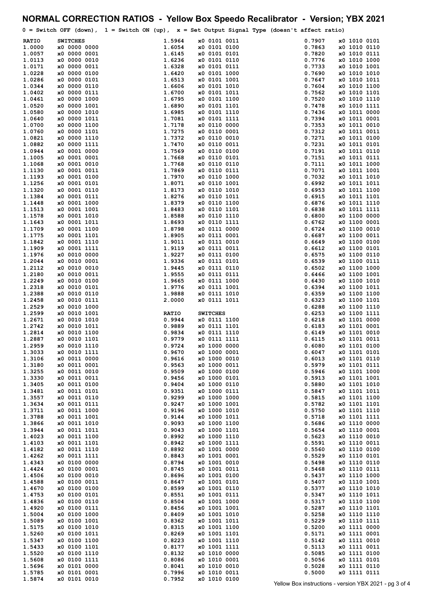|                  |                              |                        | NORMAL CORRECTION RATIOS - Yellow Box Speedo Recalibrator - Version; YBX 2021                      |                  |                              |
|------------------|------------------------------|------------------------|----------------------------------------------------------------------------------------------------|------------------|------------------------------|
|                  |                              |                        | $0 =$ Switch OFF (down), $1 =$ Switch ON (up), $x =$ Set Output Signal Type (doesn't affect ratio) |                  |                              |
| <b>RATIO</b>     | <b>SWITCHES</b>              | 1.5964                 | x0 0101 0011                                                                                       | 0.7907           | x0 1010 0101                 |
| 1.0000           | x0 0000 0000                 | 1.6054                 | x0 0101 0100                                                                                       | 0.7863           | x0 1010 0110                 |
| 1.0057           | x0 0000 0001                 | 1.6145                 | x0 0101 0101                                                                                       | 0.7820<br>0.7776 | x0 1010 0111                 |
| 1.0113<br>1.0171 | x0 0000 0010<br>x0 0000 0011 | 1.6236<br>1.6328       | x0 0101 0110<br>x0 0101 0111                                                                       | 0.7733           | x0 1010 1000<br>x0 1010 1001 |
| 1.0228           | x0 0000 0100                 | 1.6420                 | x0 0101 1000                                                                                       | 0.7690           | x0 1010 1010                 |
| 1.0286           | x0 0000 0101                 | 1.6513                 | x0 0101 1001                                                                                       | 0.7647           | x0 1010 1011                 |
| 1.0344           | x0 0000 0110                 | 1.6606                 | x0 0101 1010                                                                                       | 0.7604           | x0 1010 1100                 |
| 1.0402<br>1.0461 | x0 0000 0111<br>x0 0000 1000 | 1.6700<br>1.6795       | x0 0101 1011<br>x0 0101 1100                                                                       | 0.7562<br>0.7520 | x0 1010 1101<br>x0 1010 1110 |
| 1.0520           | x0 0000 1001                 | 1.6890                 | x0 0101 1101                                                                                       | 0.7478           | x0 1010 1111                 |
| 1.0580           | x0 0000 1010                 | 1.6985                 | x0 0101 1110                                                                                       | 0.7436           | x0 1011 0000                 |
| 1.0640           | x0 0000 1011                 | 1.7081                 | x0 0101 1111                                                                                       | 0.7394           | x0 1011 0001                 |
| 1.0700           | x0 0000 1100                 | 1.7178                 | x0 0110 0000                                                                                       | 0.7353           | x0 1011 0010                 |
| 1.0760<br>1.0821 | x0 0000 1101<br>x0 0000 1110 | 1.7275<br>1.7372       | x0 0110 0001<br>x0 0110 0010                                                                       | 0.7312<br>0.7271 | x0 1011 0011<br>x0 1011 0100 |
| 1.0882           | x0 0000 1111                 | 1.7470                 | x0 0110 0011                                                                                       | 0.7231           | x0 1011 0101                 |
| 1.0944           | x0 0001 0000                 | 1.7569                 | x0 0110 0100                                                                                       | 0.7191           | x0 1011 0110                 |
| 1.1005           | x0 0001 0001                 | 1.7668                 | x0 0110 0101                                                                                       | 0.7151           | x0 1011 0111                 |
| 1.1068<br>1.1130 | x0 0001 0010<br>x0 0001 0011 | 1.7768<br>1.7869       | x0 0110 0110<br>x0 0110 0111                                                                       | 0.7111<br>0.7071 | x0 1011 1000<br>x0 1011 1001 |
| 1.1193           | x0 0001 0100                 | 1.7970                 | x0 0110 1000                                                                                       | 0.7032           | x0 1011 1010                 |
| 1.1256           | x0 0001 0101                 | 1.8071                 | x0 0110 1001                                                                                       | 0.6992           | x0 1011 1011                 |
| 1.1320           | x0 0001 0110                 | 1.8173                 | x0 0110 1010                                                                                       | 0.6953           | x0 1011 1100                 |
| 1.1384           | x0 0001 0111                 | 1.8276                 | x0 0110 1011                                                                                       | 0.6915           | x0 1011 1101                 |
| 1.1448<br>1.1513 | x0 0001 1000<br>x0 0001 1001 | 1.8379<br>1.8483       | x0 0110 1100<br>x0 0110 1101                                                                       | 0.6876<br>0.6838 | x0 1011 1110<br>x0 1011 1111 |
| 1.1578           | x0 0001 1010                 | 1.8588                 | x0 0110 1110                                                                                       | 0.6800           | x0 1100 0000                 |
| 1.1643           | x0 0001 1011                 | 1.8693                 | x0 0110 1111                                                                                       | 0.6762           | x0 1100 0001                 |
| 1.1709           | x0 0001 1100                 | 1.8798                 | x0 0111 0000                                                                                       | 0.6724           | x0 1100 0010                 |
| 1.1775           | x0 0001 1101                 | 1.8905                 | x0 0111 0001                                                                                       | 0.6687           | x0 1100 0011                 |
| 1.1842<br>1.1909 | x0 0001 1110<br>x0 0001 1111 | 1.9011<br>1.9119       | x0 0111 0010<br>x0 0111 0011                                                                       | 0.6649<br>0.6612 | x0 1100 0100<br>x0 1100 0101 |
| 1.1976           | x0 0010 0000                 | 1.9227                 | x0 0111 0100                                                                                       | 0.6575           | x0 1100 0110                 |
| 1.2044           | x0 0010 0001                 | 1.9336                 | x0 0111 0101                                                                                       | 0.6539           | x0 1100 0111                 |
| 1.2112           | x0 0010 0010                 | 1.9445                 | x0 0111 0110                                                                                       | 0.6502           | x0 1100 1000                 |
| 1.2180<br>1.2249 | x0 0010 0011<br>x0 0010 0100 | 1.9555<br>1.9665       | x0 0111 0111<br>x0 0111 1000                                                                       | 0.6466<br>0.6430 | x0 1100 1001<br>x0 1100 1010 |
| 1.2318           | x0 0010 0101                 | 1.9776                 | x0 0111 1001                                                                                       | 0.6394           | x0 1100 1011                 |
| 1.2388           | x0 0010 0110                 | 1.9888                 | x0 0111 1010                                                                                       | 0.6359           | x0 1100 1100                 |
| 1.2458           | x0 0010 0111                 | 2.0000                 | x0 0111 1011                                                                                       | 0.6323           | x0 1100 1101                 |
| 1.2529           | x0 0010 1000                 |                        |                                                                                                    | 0.6288           | x0 1100 1110                 |
| 1.2599<br>1.2671 | x0 0010 1001<br>x0 0010 1010 | <b>RATIO</b><br>0.9944 | <b>SWITCHES</b><br>x0 0111 1100                                                                    | 0.6253<br>0.6218 | x0 1100 1111<br>x0 1101 0000 |
| 1.2742           | x0 0010 1011                 | 0.9889                 | x0 0111 1101                                                                                       | 0.6183           | x0 1101 0001                 |
| 1.2814           | x0 0010 1100                 | 0.9834                 | x0 0111 1110                                                                                       | 0.6149           | x0 1101 0010                 |
| 1.2887           | x0 0010 1101                 | 0.9779                 | x0 0111 1111                                                                                       | 0.6115           | x0 1101 0011                 |
| 1.2959<br>1.3033 | x0 0010 1110<br>x0 0010 1111 | 0.9724<br>0.9670       | x0 1000 0000<br>x0 1000 0001                                                                       | 0.6080<br>0.6047 | x0 1101 0100<br>x0 1101 0101 |
| 1.3106           | x0 0011 0000                 | 0.9616                 | x0 1000 0010                                                                                       | 0.6013           | x0 1101 0110                 |
| 1.3180           | x0 0011 0001                 | 0.9563                 | x0 1000 0011                                                                                       | 0.5979           | x0 1101 0111                 |
| 1.3255           | x0 0011 0010                 | 0.9509                 | x0 1000 0100                                                                                       | 0.5946           | x0 1101 1000                 |
| 1.3330<br>1.3405 | x0 0011 0011<br>x0 0011 0100 | 0.9456<br>0.9404       | x0 1000 0101<br>x0 1000 0110                                                                       | 0.5913<br>0.5880 | x0 1101 1001<br>x0 1101 1010 |
| 1.3481           | x0 0011 0101                 | 0.9351                 | x0 1000 0111                                                                                       | 0.5847           | x0 1101 1011                 |
| 1.3557           | x0 0011 0110                 | 0.9299                 | x0 1000 1000                                                                                       | 0.5815           | x0 1101 1100                 |
| 1.3634           | x0 0011 0111                 | 0.9247                 | x0 1000 1001                                                                                       | 0.5782           | x0 1101 1101                 |
| 1.3711           | x0 0011 1000                 | 0.9196                 | x0 1000 1010                                                                                       | 0.5750<br>0.5718 | x0 1101 1110                 |
| 1.3788<br>1.3866 | x0 0011 1001<br>x0 0011 1010 | 0.9144<br>0.9093       | x0 1000 1011<br>x0 1000 1100                                                                       | 0.5686           | x0 1101 1111<br>x0 1110 0000 |
| 1.3944           | x0 0011 1011                 | 0.9043                 | x0 1000 1101                                                                                       | 0.5654           | x0 1110 0001                 |
| 1.4023           | x0 0011 1100                 | 0.8992                 | x0 1000 1110                                                                                       | 0.5623           | x0 1110 0010                 |
| 1.4103           | x0 0011 1101                 | 0.8942                 | x0 1000 1111                                                                                       | 0.5591           | x0 1110 0011                 |
| 1.4182<br>1.4262 | x0 0011 1110<br>x0 0011 1111 | 0.8892<br>0.8843       | x0 1001 0000<br>x0 1001 0001                                                                       | 0.5560<br>0.5529 | x0 1110 0100<br>x0 1110 0101 |
| 1.4343           | x0 0100 0000                 | 0.8794                 | x0 1001 0010                                                                                       | 0.5498           | x0 1110 0110                 |
| 1.4424           | x0 0100 0001                 | 0.8745                 | x0 1001 0011                                                                                       | 0.5468           | x0 1110 0111                 |
| 1.4506           | x0 0100 0010                 | 0.8696                 | x0 1001 0100                                                                                       | 0.5437           | x0 1110 1000                 |
| 1.4588           | x0 0100 0011                 | 0.8647                 | x0 1001 0101                                                                                       | 0.5407           | x0 1110 1001                 |
| 1.4670<br>1.4753 | x0 0100 0100<br>x0 0100 0101 | 0.8599<br>0.8551       | x0 1001 0110<br>x0 1001 0111                                                                       | 0.5377<br>0.5347 | x0 1110 1010<br>x0 1110 1011 |
| 1.4836           | x0 0100 0110                 | 0.8504                 | x0 1001 1000                                                                                       | 0.5317           | x0 1110 1100                 |
| 1.4920           | x0 0100 0111                 | 0.8456                 | x0 1001 1001                                                                                       | 0.5287           | x0 1110 1101                 |
| 1.5004           | x0 0100 1000                 | 0.8409                 | x0 1001 1010                                                                                       | 0.5258           | x0 1110 1110                 |
| 1.5089           | x0 0100 1001                 | 0.8362                 | x0 1001 1011                                                                                       | 0.5229           | x0 1110 1111                 |
| 1.5175<br>1.5260 | x0 0100 1010<br>x0 0100 1011 | 0.8315<br>0.8269       | x0 1001 1100<br>x0 1001 1101                                                                       | 0.5200<br>0.5171 | x0 1111 0000<br>x0 1111 0001 |
| 1.5347           | x0 0100 1100                 | 0.8223                 | x0 1001 1110                                                                                       | 0.5142           | x0 1111 0010                 |
| 1.5433           | x0 0100 1101                 | 0.8177                 | x0 1001 1111                                                                                       | 0.5113           | x0 1111 0011                 |
| 1.5520           | x0 0100 1110                 | 0.8132                 | x0 1010 0000                                                                                       | 0.5085           | x0 1111 0100                 |
| 1.5608<br>1.5696 | x0 0100 1111<br>x0 0101 0000 | 0.8086<br>0.8041       | x0 1010 0001<br>x0 1010 0010                                                                       | 0.5056<br>0.5028 | x0 1111 0101<br>x0 1111 0110 |
| 1.5785           | x0 0101 0001                 | 0.7996                 | x0 1010 0011                                                                                       | 0.5000           | x0 1111 0111                 |
| 1.5874           | x0 0101 0010                 | 0.7952                 | x0 1010 0100                                                                                       |                  |                              |